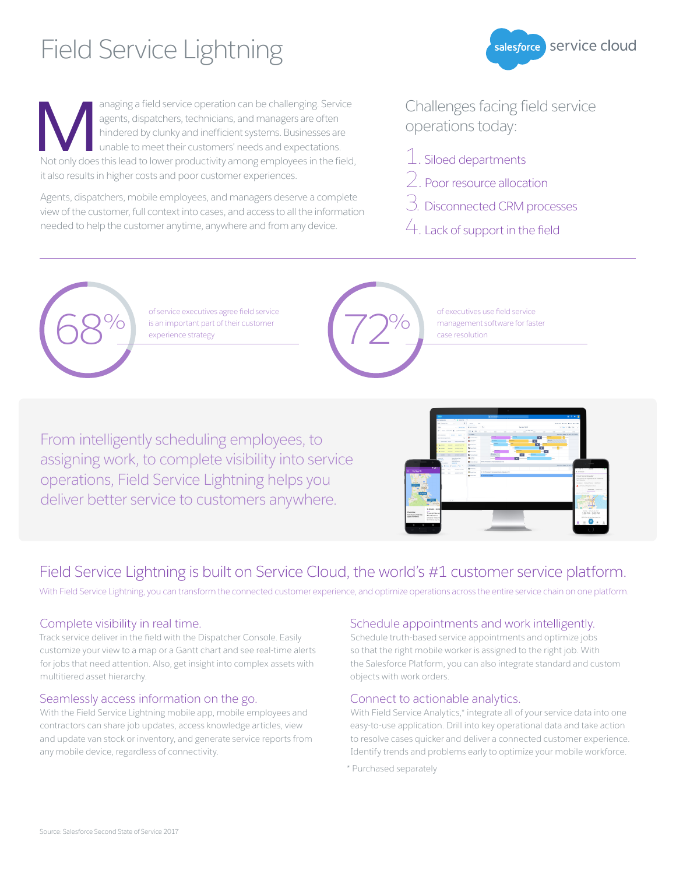# Field Service Lightning

anaging a field service operation can be challenging. Service agents, dispatchers, technicians, and managers are often hindered by clunky and inefficient systems. Businesses are unable to meet their customers' needs and expectations. anaging a field service operation can be challenging. Service agents, dispatchers, technicians, and managers are often hindered by clunky and inefficient systems. Businesses are unable to meet their customers' needs and ex it also results in higher costs and poor customer experiences.

Agents, dispatchers, mobile employees, and managers deserve a complete view of the customer, full context into cases, and access to all the information needed to help the customer anytime, anywhere and from any device.

Challenges facing field service operations today:

salesforce Service cloud

- $\mathcal{I}$ . Siloed departments
- 2. Poor resource allocation
- 3. Disconnected CRM processes
- 4. Lack of support in the field



bi service executives agree neld service<br>
is an important part of their customer<br>
experience strategy



of executives use field service management software for faster case resolution

From intelligently scheduling employees, to assigning work, to complete visibility into service operations, Field Service Lightning helps you deliver better service to customers anywhere.



### Field Service Lightning is built on Service Cloud, the world's #1 customer service platform.

With Field Service Lightning, you can transform the connected customer experience, and optimize operations across the entire service chain on one platform.

#### Complete visibility in real time.

Track service deliver in the field with the Dispatcher Console. Easily customize your view to a map or a Gantt chart and see real-time alerts for jobs that need attention. Also, get insight into complex assets with multitiered asset hierarchy.

#### Seamlessly access information on the go.

With the Field Service Lightning mobile app, mobile employees and contractors can share job updates, access knowledge articles, view and update van stock or inventory, and generate service reports from any mobile device, regardless of connectivity.

#### Schedule appointments and work intelligently.

Schedule truth-based service appointments and optimize jobs so that the right mobile worker is assigned to the right job. With the Salesforce Platform, you can also integrate standard and custom objects with work orders.

#### Connect to actionable analytics.

With Field Service Analytics,\* integrate all of your service data into one easy-to-use application. Drill into key operational data and take action to resolve cases quicker and deliver a connected customer experience. Identify trends and problems early to optimize your mobile workforce.

\* Purchased separately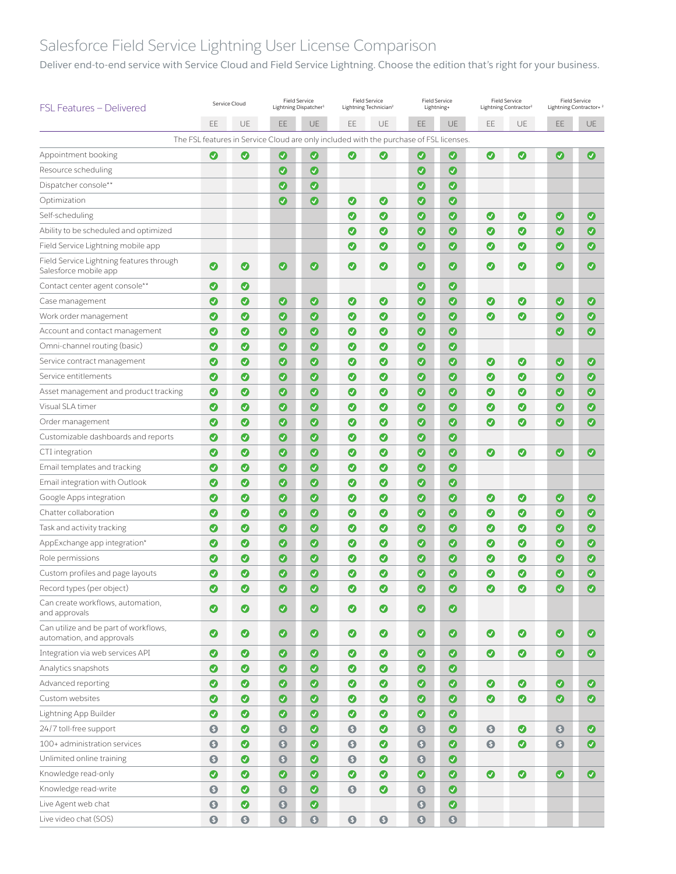## Salesforce Field Service Lightning User License Comparison

Deliver end-to-end service with Service Cloud and Field Service Lightning. Choose the edition that's right for your business.

| FSL Features – Delivered                                           | Service Cloud    |           | <b>Field Service</b><br>Lightning Dispatcher <sup>1</sup>                              |           | <b>Field Service</b><br>Lightning Technician <sup>2</sup> |                  | <b>Field Service</b><br>Lightning+ |                  | <b>Field Service</b><br>Lightning Contractor <sup>2</sup> |                       | <b>Field Service</b><br>Lightning Contractor+ <sup>2</sup> |                       |
|--------------------------------------------------------------------|------------------|-----------|----------------------------------------------------------------------------------------|-----------|-----------------------------------------------------------|------------------|------------------------------------|------------------|-----------------------------------------------------------|-----------------------|------------------------------------------------------------|-----------------------|
|                                                                    | EE               | UE        | EE.                                                                                    | UE        | EE                                                        | UE               | EE                                 | UE               | EE                                                        | UE                    | EE                                                         | <b>UE</b>             |
|                                                                    |                  |           | The FSL features in Service Cloud are only included with the purchase of FSL licenses. |           |                                                           |                  |                                    |                  |                                                           |                       |                                                            |                       |
| Appointment booking                                                | Ø                | Ø         | ◙                                                                                      | $\bullet$ | Ø                                                         | Ø                | $\bullet$                          | $\bullet$        | $\bullet$                                                 | $\bullet$             | $\bullet$                                                  | Ø                     |
| Resource scheduling                                                |                  |           | $\bm{o}$                                                                               | $\bullet$ |                                                           |                  | $\bullet$                          | $\bullet$        |                                                           |                       |                                                            |                       |
| Dispatcher console**                                               |                  |           | $\bullet$                                                                              | $\bullet$ |                                                           |                  | $\bullet$                          | $\bullet$        |                                                           |                       |                                                            |                       |
| Optimization                                                       |                  |           | $\bullet$                                                                              | $\bullet$ | ◙                                                         | ◙                | $\bullet$                          | $\bullet$        |                                                           |                       |                                                            |                       |
| Self-scheduling                                                    |                  |           |                                                                                        |           | Ø                                                         | ◙                | $\bullet$                          | $\boldsymbol{O}$ | $\bullet$                                                 | $\bullet$             | $\bullet$                                                  | $\bullet$             |
| Ability to be scheduled and optimized                              |                  |           |                                                                                        |           | Ø                                                         | $\bullet$        | $\bullet$                          | $\bullet$        | ◙                                                         | $\bullet$             | $\bullet$                                                  | $\bullet$             |
| Field Service Lightning mobile app                                 |                  |           |                                                                                        |           | $\bullet$                                                 | $\bullet$        | $\bullet$                          | $\boldsymbol{O}$ | ◎                                                         | $\bullet$             | $\bullet$                                                  | $\bullet$             |
| Field Service Lightning features through<br>Salesforce mobile app  | ◙                | ◙         | $\bullet$                                                                              | $\bullet$ | $\bullet$                                                 | ◙                | $\bullet$                          | $\bullet$        | $\bullet$                                                 | $\bullet$             | $\bullet$                                                  | $\bullet$             |
| Contact center agent console**                                     | ◙                | ◙         |                                                                                        |           |                                                           |                  | $\bullet$                          | $\bullet$        |                                                           |                       |                                                            |                       |
| Case management                                                    | $\bullet$        | ◙         | $\bullet$                                                                              | $\bullet$ | $\bullet$                                                 | $\bm{o}$         | $\bullet$                          | $\bullet$        | $\bullet$                                                 | ◑                     | $\bullet$                                                  | $\bullet$             |
| Work order management                                              | ◙                | ◙         | $\bullet$                                                                              | $\bullet$ | $\bullet$                                                 | ◙                | $\bullet$                          | $\bullet$        | ◙                                                         | $\bullet$             | $\bullet$                                                  | $\bullet$             |
| Account and contact management                                     | ◙                | Ø         | $\bullet$                                                                              | $\bullet$ | Ø                                                         | ◙                | $\bullet$                          | $\boldsymbol{O}$ |                                                           |                       | $\boldsymbol{O}$                                           | $\bullet$             |
| Omni-channel routing (basic)                                       | ◙                | ◙         | $\bullet$                                                                              | $\bullet$ | $\bullet$                                                 | ◙                | $\bullet$                          | $\bullet$        |                                                           |                       |                                                            |                       |
| Service contract management                                        | $\bullet$        | ◙         | $\bullet$                                                                              | $\bullet$ | $\bullet$                                                 | ◙                | $\bullet$                          | $\bullet$        | $\bullet$                                                 | $\bullet$             | $\bullet$                                                  | $\bullet$             |
| Service entitlements                                               | ◙                | ◙         | $\bullet$                                                                              | $\bullet$ | $\bullet$                                                 | $\boldsymbol{O}$ | $\bullet$                          | $\bullet$        | ◙                                                         | $\bullet$             | $\bullet$                                                  | $\bullet$             |
| Asset management and product tracking                              | ◙                | Ø         | $\bullet$                                                                              | $\bullet$ | $\bullet$                                                 | $\bullet$        | $\bullet$                          | $\boldsymbol{O}$ | ◙                                                         | $\bullet$             | $\bullet$                                                  | $\bullet$             |
| Visual SLA timer                                                   | $\boldsymbol{O}$ | ◙         | $\bullet$                                                                              | $\bullet$ | $\boldsymbol{O}$                                          | ◙                | $\bullet$                          | $\boldsymbol{O}$ | ◙                                                         | $\bullet$             | $\boldsymbol{O}$                                           | $\bullet$             |
| Order management                                                   | $\bullet$        | ◙         | $\bullet$                                                                              | $\bullet$ | $\bullet$                                                 | $\bullet$        | $\bullet$                          | $\bullet$        | ◙                                                         | $\bullet$             | $\bullet$                                                  | $\bullet$             |
| Customizable dashboards and reports                                | ◙                | ◙         | $\bullet$                                                                              | $\bullet$ | $\bullet$                                                 | ◙                | $\bullet$                          | $\boldsymbol{O}$ |                                                           |                       |                                                            |                       |
| CTI integration                                                    | ◙                | ◙         | $\bullet$                                                                              | $\bullet$ | Ø                                                         | ◙                | $\bullet$                          | $\bullet$        | $\bullet$                                                 | $\bullet$             | $\bullet$                                                  | Ø                     |
| Email templates and tracking                                       | $\bullet$        | Ø         | $\bullet$                                                                              | $\bullet$ | $\bullet$                                                 | ◉                | $\bullet$                          | $\bullet$        |                                                           |                       |                                                            |                       |
| Email integration with Outlook                                     | ◙                | Ø         | $\bullet$                                                                              | $\bullet$ | $\bullet$                                                 | $\bullet$        | $\bullet$                          | $\bullet$        |                                                           |                       |                                                            |                       |
| Google Apps integration                                            | ◑                | ◙         | $\bullet$                                                                              | $\bullet$ | $\bullet$                                                 | ◙                | $\bullet$                          | $\bullet$        | $\bullet$                                                 | ◑                     | $\bullet$                                                  | $\bullet$             |
| Chatter collaboration                                              | ◙                | Ø         | $\bullet$                                                                              | $\bullet$ | ◙                                                         | Ø                | $\bullet$                          | $\bullet$        | ◙                                                         | $\bullet$             | $\bullet$                                                  | $\bullet$             |
| Task and activity tracking                                         | $\bullet$        | Ø         | $\bullet$                                                                              | $\bullet$ | $\bullet$                                                 | $\bullet$        | $\bullet$                          | $\bullet$        | ◙                                                         | $\bullet$             | $\bullet$                                                  | $\bullet$             |
| AppExchange app integration*                                       | ◙                | ◙         | $\bullet$                                                                              | $\bullet$ | $\bullet$                                                 | $\bullet$        | $\bullet$                          | $\boldsymbol{O}$ | ◙                                                         | $\bullet$             | $\bullet$                                                  | $\bullet$             |
| Role permissions                                                   | ◙                | Ø         | $\bullet$                                                                              | $\bullet$ | Ø                                                         | ◙                | $\bullet$                          | $\bullet$        | Ø                                                         | $\bullet$             | $\boldsymbol{O}$                                           | $\bullet$             |
| Custom profiles and page layouts                                   | ◙                | $\bullet$ | $\bullet$                                                                              | $\bullet$ | $\bullet$                                                 | ◙                | $\bullet$                          | $\boldsymbol{O}$ | ◙                                                         | Ø                     | $\bullet$                                                  | $\bullet$             |
| Record types (per object)                                          | $\bullet$        | ◙         | $\bullet$                                                                              | $\bullet$ | $\boldsymbol{\Omega}$                                     | $\bullet$        | $\bullet$                          | $\bullet$        | മ                                                         | $\boldsymbol{\Omega}$ | $\bullet$                                                  | $\boldsymbol{\sigma}$ |
| Can create workflows, automation,<br>and approvals                 | $\bullet$        | $\bullet$ | $\bullet$                                                                              | $\bullet$ | $\bullet$                                                 | $\bullet$        | $\bullet$                          | $\bullet$        |                                                           |                       |                                                            |                       |
| Can utilize and be part of workflows,<br>automation, and approvals | $\bullet$        | $\bullet$ | $\bullet$                                                                              | $\bullet$ | $\bullet$                                                 | $\bullet$        | $\bullet$                          | $\bullet$        | $\bullet$                                                 | $\bullet$             | $\bullet$                                                  | $\bullet$             |
| Integration via web services API                                   | $\bullet$        | $\bullet$ | $\bullet$                                                                              | $\bullet$ | $\bullet$                                                 | $\bullet$        | $\bullet$                          | $\bullet$        | $\bullet$                                                 | $\bullet$             | $\bullet$                                                  | $\bullet$             |
| Analytics snapshots                                                | $\bullet$        | $\bullet$ | $\bullet$                                                                              | $\bullet$ | $\bullet$                                                 | $\bullet$        | $\bullet$                          | $\bullet$        |                                                           |                       |                                                            |                       |
| Advanced reporting                                                 | $\bullet$        | $\bullet$ | $\bullet$                                                                              | $\bullet$ | $\bullet$                                                 | $\bullet$        | $\bullet$                          | $\bullet$        | $\bullet$                                                 | $\bullet$             | $\bullet$                                                  | $\bullet$             |
| Custom websites                                                    | $\bullet$        | $\bullet$ | $\bullet$                                                                              | $\bullet$ | $\bullet$                                                 | $\bullet$        | $\bullet$                          | $\bullet$        | $\bullet$                                                 | $\bullet$             | $\bullet$                                                  | $\bullet$             |
| Lightning App Builder                                              | $\bullet$        | $\bullet$ | $\bullet$                                                                              | $\bullet$ | $\bullet$                                                 | $\bullet$        | $\bullet$                          | $\bullet$        |                                                           |                       |                                                            |                       |
| 24/7 toll-free support                                             | $\bullet$        | $\bullet$ | $\bullet$                                                                              | $\bullet$ | $\bullet$                                                 | $\bullet$        | $\bullet$                          | $\bullet$        | $\bullet$                                                 | $\bullet$             | $\bullet$                                                  | $\bullet$             |
| 100+ administration services                                       | $\bullet$        | $\bullet$ | $\bullet$                                                                              | $\bullet$ | $\bullet$                                                 | $\bullet$        | $\bullet$                          | $\bullet$        | $\bullet$                                                 | $\bullet$             | $\bullet$                                                  | $\bullet$             |
| Unlimited online training                                          | $\bullet$        | $\bullet$ | $\bullet$                                                                              | $\bullet$ | $\bullet$                                                 | $\bullet$        | $\bullet$                          | $\bullet$        |                                                           |                       |                                                            |                       |
| Knowledge read-only                                                | $\bullet$        | $\bullet$ | $\bullet$                                                                              | $\bullet$ | $\bullet$                                                 | $\bullet$        | $\bullet$                          | $\bullet$        | $\bullet$                                                 | $\bullet$             | $\bullet$                                                  | $\bullet$             |
| Knowledge read-write                                               | $\bullet$        | $\bullet$ | $\bullet$                                                                              | $\bullet$ | $\bullet$                                                 | $\bullet$        | $\bullet$                          | $\bullet$        |                                                           |                       |                                                            |                       |
| Live Agent web chat                                                | $\bullet$        | $\bullet$ | $\bullet$                                                                              | $\bullet$ |                                                           |                  | $\bullet$                          | $\bullet$        |                                                           |                       |                                                            |                       |
| Live video chat (SOS)                                              | $\bullet$        | $\bullet$ | $\bullet$                                                                              | $\bullet$ | $\bullet$                                                 | $\bullet$        | $\bullet$                          | $\bullet$        |                                                           |                       |                                                            |                       |